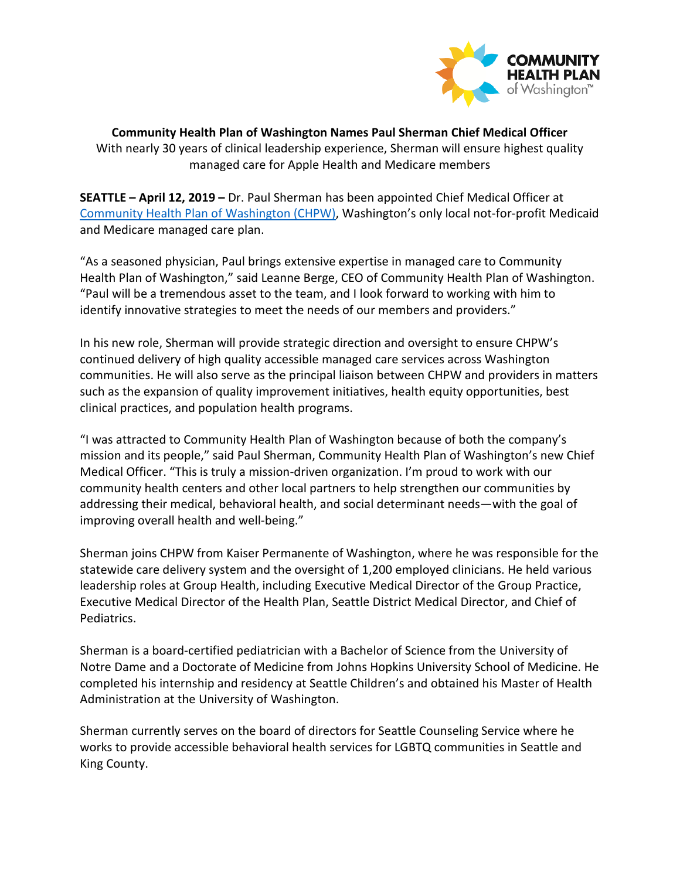

**Community Health Plan of Washington Names Paul Sherman Chief Medical Officer** With nearly 30 years of clinical leadership experience, Sherman will ensure highest quality managed care for Apple Health and Medicare members

**SEATTLE – April 12, 2019 –** Dr. Paul Sherman has been appointed Chief Medical Officer at [Community Health Plan of Washington \(CHPW\),](http://www.chpw.org/) Washington's only local not-for-profit Medicaid and Medicare managed care plan.

"As a seasoned physician, Paul brings extensive expertise in managed care to Community Health Plan of Washington," said Leanne Berge, CEO of Community Health Plan of Washington. "Paul will be a tremendous asset to the team, and I look forward to working with him to identify innovative strategies to meet the needs of our members and providers."

In his new role, Sherman will provide strategic direction and oversight to ensure CHPW's continued delivery of high quality accessible managed care services across Washington communities. He will also serve as the principal liaison between CHPW and providers in matters such as the expansion of quality improvement initiatives, health equity opportunities, best clinical practices, and population health programs.

"I was attracted to Community Health Plan of Washington because of both the company's mission and its people," said Paul Sherman, Community Health Plan of Washington's new Chief Medical Officer. "This is truly a mission-driven organization. I'm proud to work with our community health centers and other local partners to help strengthen our communities by addressing their medical, behavioral health, and social determinant needs—with the goal of improving overall health and well-being."

Sherman joins CHPW from Kaiser Permanente of Washington, where he was responsible for the statewide care delivery system and the oversight of 1,200 employed clinicians. He held various leadership roles at Group Health, including Executive Medical Director of the Group Practice, Executive Medical Director of the Health Plan, Seattle District Medical Director, and Chief of Pediatrics.

Sherman is a board-certified pediatrician with a Bachelor of Science from the University of Notre Dame and a Doctorate of Medicine from Johns Hopkins University School of Medicine. He completed his internship and residency at Seattle Children's and obtained his Master of Health Administration at the University of Washington.

Sherman currently serves on the board of directors for Seattle Counseling Service where he works to provide accessible behavioral health services for LGBTQ communities in Seattle and King County.